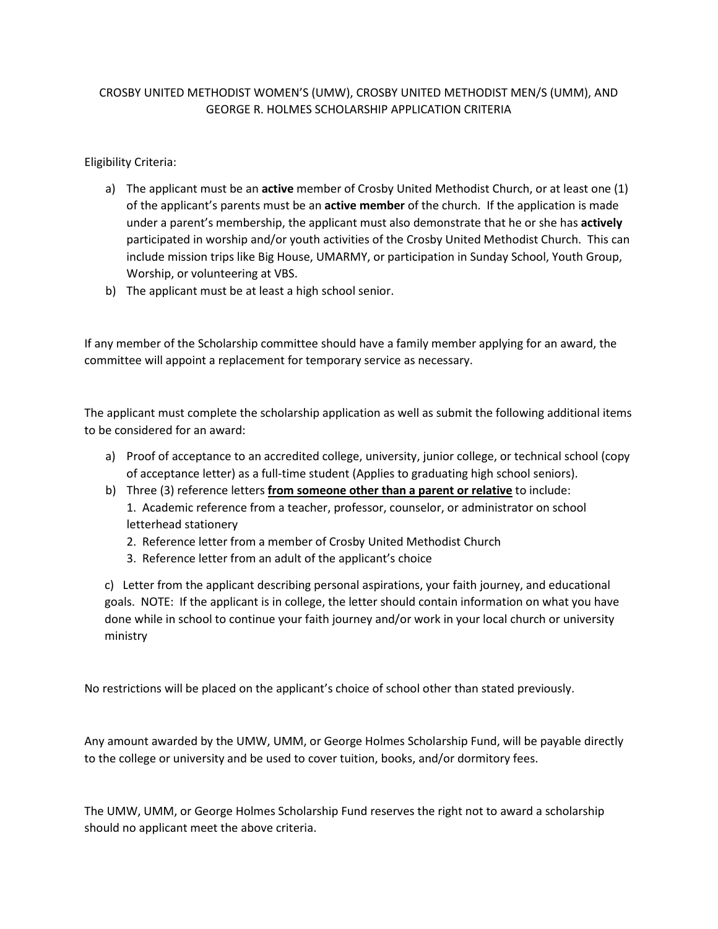#### CROSBY UNITED METHODIST WOMEN'S (UMW), CROSBY UNITED METHODIST MEN/S (UMM), AND GEORGE R. HOLMES SCHOLARSHIP APPLICATION CRITERIA

Eligibility Criteria:

- a) The applicant must be an **active** member of Crosby United Methodist Church, or at least one (1) of the applicant's parents must be an **active member** of the church. If the application is made under a parent's membership, the applicant must also demonstrate that he or she has **actively** participated in worship and/or youth activities of the Crosby United Methodist Church. This can include mission trips like Big House, UMARMY, or participation in Sunday School, Youth Group, Worship, or volunteering at VBS.
- b) The applicant must be at least a high school senior.

If any member of the Scholarship committee should have a family member applying for an award, the committee will appoint a replacement for temporary service as necessary.

The applicant must complete the scholarship application as well as submit the following additional items to be considered for an award:

- a) Proof of acceptance to an accredited college, university, junior college, or technical school (copy of acceptance letter) as a full-time student (Applies to graduating high school seniors).
- b) Three (3) reference letters **from someone other than a parent or relative** to include: 1. Academic reference from a teacher, professor, counselor, or administrator on school letterhead stationery
	- 2. Reference letter from a member of Crosby United Methodist Church
	- 3. Reference letter from an adult of the applicant's choice

c) Letter from the applicant describing personal aspirations, your faith journey, and educational goals. NOTE: If the applicant is in college, the letter should contain information on what you have done while in school to continue your faith journey and/or work in your local church or university ministry

No restrictions will be placed on the applicant's choice of school other than stated previously.

Any amount awarded by the UMW, UMM, or George Holmes Scholarship Fund, will be payable directly to the college or university and be used to cover tuition, books, and/or dormitory fees.

The UMW, UMM, or George Holmes Scholarship Fund reserves the right not to award a scholarship should no applicant meet the above criteria.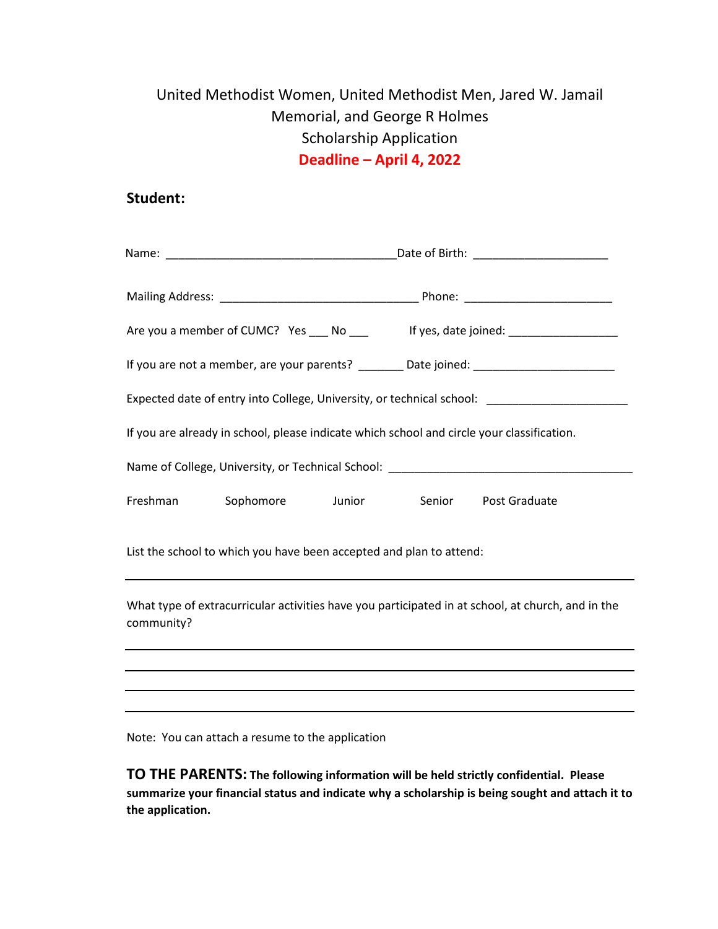# United Methodist Women, United Methodist Men, Jared W. Jamail Memorial, and George R Holmes Scholarship Application **Deadline – April 4, 2022**

### **Student:**

|            |                                                                     |  | Are you a member of CUMC? Yes ____ No ____ lf yes, date joined: ________________                  |
|------------|---------------------------------------------------------------------|--|---------------------------------------------------------------------------------------------------|
|            |                                                                     |  |                                                                                                   |
|            |                                                                     |  | Expected date of entry into College, University, or technical school: _________________           |
|            |                                                                     |  | If you are already in school, please indicate which school and circle your classification.        |
|            |                                                                     |  | Name of College, University, or Technical School: ______________________________                  |
| Freshman   | Sophomore                                                           |  | Junior Senior Post Graduate                                                                       |
|            | List the school to which you have been accepted and plan to attend: |  |                                                                                                   |
| community? |                                                                     |  | What type of extracurricular activities have you participated in at school, at church, and in the |
|            |                                                                     |  |                                                                                                   |
|            |                                                                     |  |                                                                                                   |

Note: You can attach a resume to the application

**TO THE PARENTS: The following information will be held strictly confidential. Please summarize your financial status and indicate why a scholarship is being sought and attach it to the application.**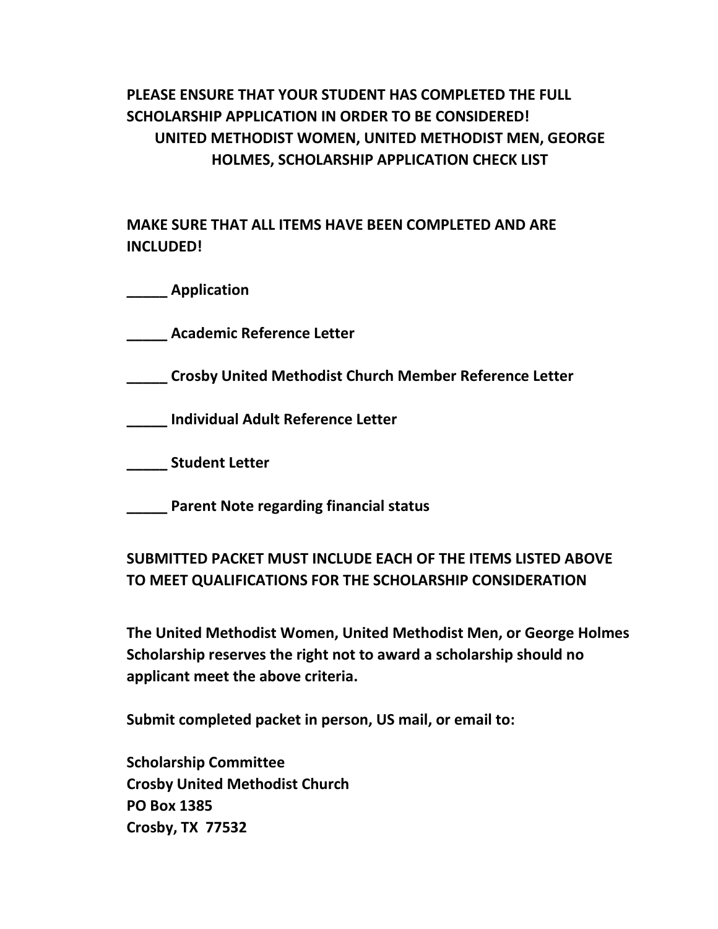## **PLEASE ENSURE THAT YOUR STUDENT HAS COMPLETED THE FULL SCHOLARSHIP APPLICATION IN ORDER TO BE CONSIDERED! UNITED METHODIST WOMEN, UNITED METHODIST MEN, GEORGE HOLMES, SCHOLARSHIP APPLICATION CHECK LIST**

**MAKE SURE THAT ALL ITEMS HAVE BEEN COMPLETED AND ARE INCLUDED!**

**\_\_\_\_\_ Application**

**\_\_\_\_\_ Academic Reference Letter**

**\_\_\_\_\_ Crosby United Methodist Church Member Reference Letter**

**\_\_\_\_\_ Individual Adult Reference Letter**

**\_\_\_\_\_ Student Letter**

**\_\_\_\_\_ Parent Note regarding financial status**

### **SUBMITTED PACKET MUST INCLUDE EACH OF THE ITEMS LISTED ABOVE TO MEET QUALIFICATIONS FOR THE SCHOLARSHIP CONSIDERATION**

**The United Methodist Women, United Methodist Men, or George Holmes Scholarship reserves the right not to award a scholarship should no applicant meet the above criteria.** 

**Submit completed packet in person, US mail, or email to:**

**Scholarship Committee Crosby United Methodist Church PO Box 1385 Crosby, TX 77532**